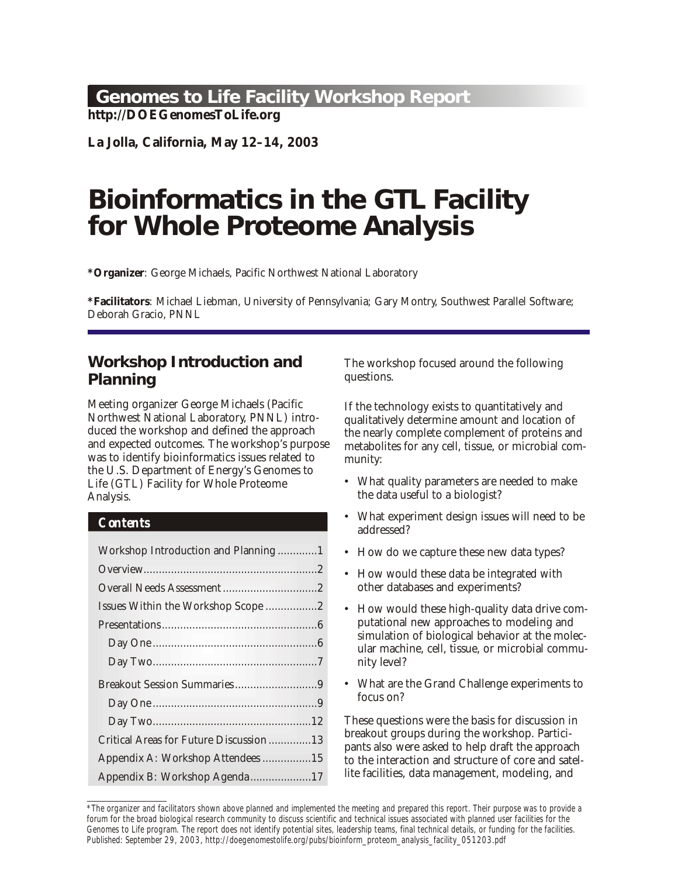# <span id="page-0-0"></span>**Genomes to Life Facility Workshop Report**

**http://DOEGenomesToLife.org**

**La Jolla, California, May 12–14, 2003**

# **Bioinformatics in the GTL Facility for Whole Proteome Analysis**

\*Organizer: George Michaels, Pacific Northwest National Laboratory

**\*Facil i ta tors**: Michael Liebman, Uni ver sity of Penn syl va nia; Gary Montry, South west Par al lel Soft ware; Deborah Gracio, PNNL

# **Workshop Introduction and Planning**

Meeting organizer George Michaels (Pacific Northwest National Laboratory, PNNL) introduced the workshop and defined the approach and expected outcomes. The workshop's purpose was to identify bioinformatics issues related to the U.S. Department of Energy's Genomes to Life (GTL) Facility for Whole Proteome Analysis.

# *Contents*

| Workshop Introduction and Planning1    |  |
|----------------------------------------|--|
|                                        |  |
|                                        |  |
| Issues Within the Workshop Scope 2     |  |
|                                        |  |
|                                        |  |
|                                        |  |
| Breakout Session Summaries9            |  |
|                                        |  |
|                                        |  |
| Critical Areas for Future Discussion13 |  |
| Appendix A: Workshop Attendees15       |  |
| Appendix B: Workshop Agenda17          |  |

The workshop focused around the following questions.

If the technology exists to quantitatively and qualitatively determine amount and location of the nearly complete complement of proteins and metabolites for any cell, tissue, or microbial community:

- What quality parameters are needed to make the data useful to a biologist?
- What experiment design issues will need to be addressed?
- How do we capture these new data types?
- How would these data be integrated with other databases and experiments?
- How would these high-quality data drive computational new approaches to modeling and simulation of biological behavior at the molecular machine, cell, tissue, or microbial community level?
- What are the Grand Challenge experiments to focus on?

These questions were the basis for discussion in break out groups during the work shop. Participants also were asked to help draft the approach to the interaction and structure of core and satellite facilities, data management, modeling, and

<sup>\*</sup>The organizer and facilitators shown above planned and implemented the meeting and prepared this report. Their purpose was to provide a forum for the broad biological research community to discuss scientific and technical issues associated with planned user facilities for the Genomes to Life program. The report does not identify potential sites, leadership teams, final technical details, or funding for the facilities. Published: September 29, 2003, [http://doegenomestolife.org/pubs/bioinform\\_proteom\\_analysis\\_facility\\_051203.pdf](http://doegenomestolife.org/pubs/bioinform_proteom_analysis_facility_051203.pdf)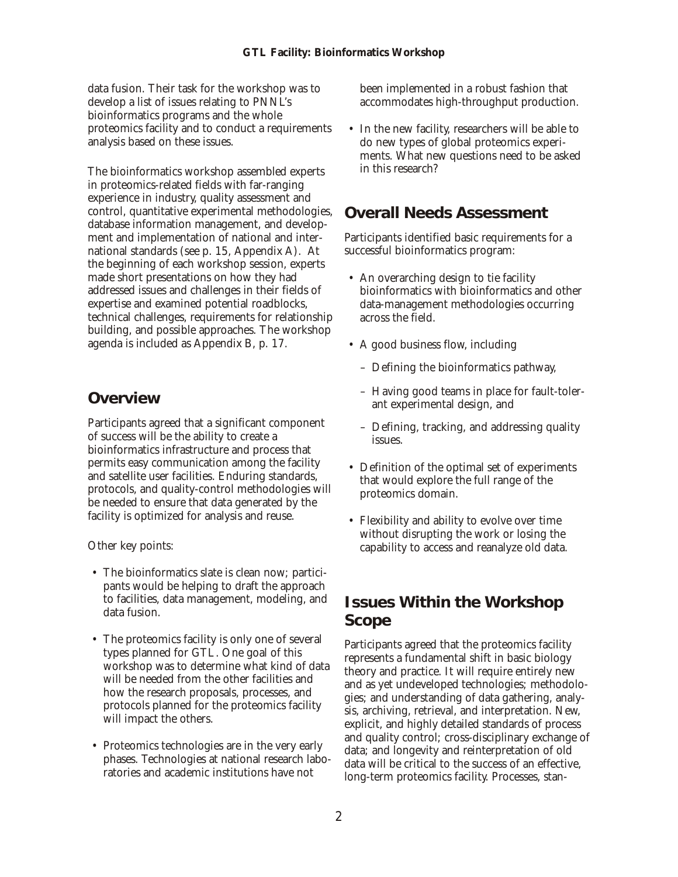<span id="page-1-0"></span>data fusion. Their task for the work shop was to develop a list of issues relating to PNNL's bioinformatics programs and the whole proteomics facility and to conduct a requirements analysis based on these issues.

The bioinformatics workshop assembled experts in proteomics-related fields with far-ranging experience in industry, quality assessment and control, quantitative experimental methodologies, database information management, and development and implementation of national and international standards (see p. 15, Appendix A). At the beginning of each workshop session, experts made short presentations on how they had addressed issues and challenges in their fields of expertise and examined potential roadblocks, technical challenges, requirements for relationship building, and possible approaches. The workshop agenda is included as Appendix B, p. 17.

# **Overview**

Participants agreed that a significant component of success will be the ability to create a bioinformatics infrastructure and process that permits easy communication among the facility and satellite user facilities. Enduring standards, protocols, and quality-control methodologies will be needed to ensure that data generated by the facility is optimized for analysis and reuse.

Other key points:

- The bioinformatics slate is clean now; participants would be helping to draft the approach to facilities, data management, modeling, and data fusion.
- The proteomics facility is only one of several types planned for GTL. One goal of this work shop was to determine what kind of data will be needed from the other facilities and how the research proposals, processes, and protocols planned for the proteomics facility will impact the others.
- Proteomics technologies are in the very early phases. Technologies at national research laboratories and academic institutions have not

been implemented in a robust fashion that accommodates high-throughput production.

• In the new facility, researchers will be able to do new types of global proteomics experiments. What new questions need to be asked in this research?

# **Overall Needs Assessment**

Participants identified basic requirements for a successful bioinformatics program:

- An overarching design to tie facility bioinformatics with bioinformatics and other data-management methodologies occurring across the field.
- A good business flow, including
	- Defining the bioinformatics pathway,
	- Having good teams in place for fault-tolerant experimental design, and
	- Defining, tracking, and addressing quality issues.
- Definition of the optimal set of experiments that would explore the full range of the proteomics domain.
- Flexibility and ability to evolve over time without disrupting the work or losing the capability to access and reanalyze old data.

# **Issues Within the Workshop Scope**

Participants agreed that the proteomics facility represents a fundamental shift in basic biology theory and practice. It will require entirely new and as yet undeveloped technologies; methodologies; and understanding of data gathering, analysis, archiving, retrieval, and interpretation. New, explicit, and highly detailed standards of process and quality control; cross-disciplinary exchange of data; and longevity and reinterpretation of old data will be critical to the success of an effective, long-term proteomics facility. Processes, stan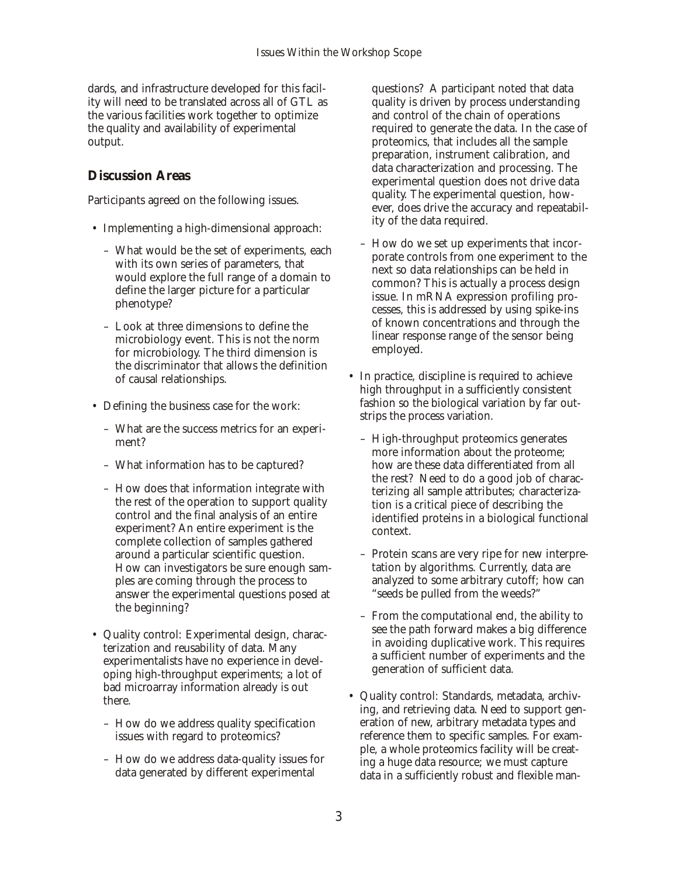dards, and infrastructure developed for this facility will need to be translated across all of GTL as the various facilities work together to optimize the quality and availability of experimental output.

### **Discussion Areas**

Participants agreed on the following issues.

- Implementing a high-dimensional approach:
	- What would be the set of experiments, each with its own series of parameters, that would explore the full range of a domain to define the larger picture for a particular phenotype?
	- Look at three dimensions to define the microbiology event. This is not the norm for microbiology. The third dimension is the discriminator that allows the definition of causal relationships.
- Defining the business case for the work:
	- What are the success metrics for an experiment?
	- What information has to be captured?
	- How does that information integrate with the rest of the operation to support quality control and the final analysis of an entire experiment? An entire experiment is the complete collection of samples gathered around a particular scientific question. How can investigators be sure enough samples are coming through the process to answer the experimental questions posed at the beginning?
- Quality control: Experimental design, characterization and reusability of data. Many experimentalists have no experience in developing high-throughput experiments; a lot of bad microarray information already is out there.
	- How do we address quality specification issues with regard to proteomics?
	- How do we address data-quality issues for data generated by different experimental

questions? A participant noted that data quality is driven by process understanding and control of the chain of operations required to generate the data. In the case of proteomics, that includes all the sample preparation, instrument calibration, and data characterization and processing. The experimental question does not drive data quality. The experimental question, however, does drive the accuracy and repeatability of the data required.

- How do we set up experiments that incorporate controls from one experiment to the next so data relationships can be held in common? This is actually a process design issue. In mRNA expression profiling processes, this is addressed by using spike-ins of known concentrations and through the linear response range of the sensor being employed.
- In practice, discipline is required to achieve high throughput in a sufficiently consistent fashion so the biological variation by far outstrips the process variation.
	- High-throughput proteomics generates more information about the proteome; how are these data differentiated from all the rest? Need to do a good job of characterizing all sample attributes; characterization is a critical piece of describing the identified proteins in a biological functional context.
	- Protein scans are very ripe for new interpretation by algorithms. Currently, data are analyzed to some arbitrary cutoff; how can "seeds be pulled from the weeds?"
	- $-$  From the computational end, the ability to see the path forward makes a big difference in avoiding duplicative work. This requires a sufficient number of experiments and the generation of sufficient data.
- Quality control: Standards, metadata, archiving, and retrieving data. Need to support generation of new, arbitrary metadata types and reference them to specific samples. For example, a whole proteomics facility will be creating a huge data resource; we must capture data in a sufficiently robust and flexible man-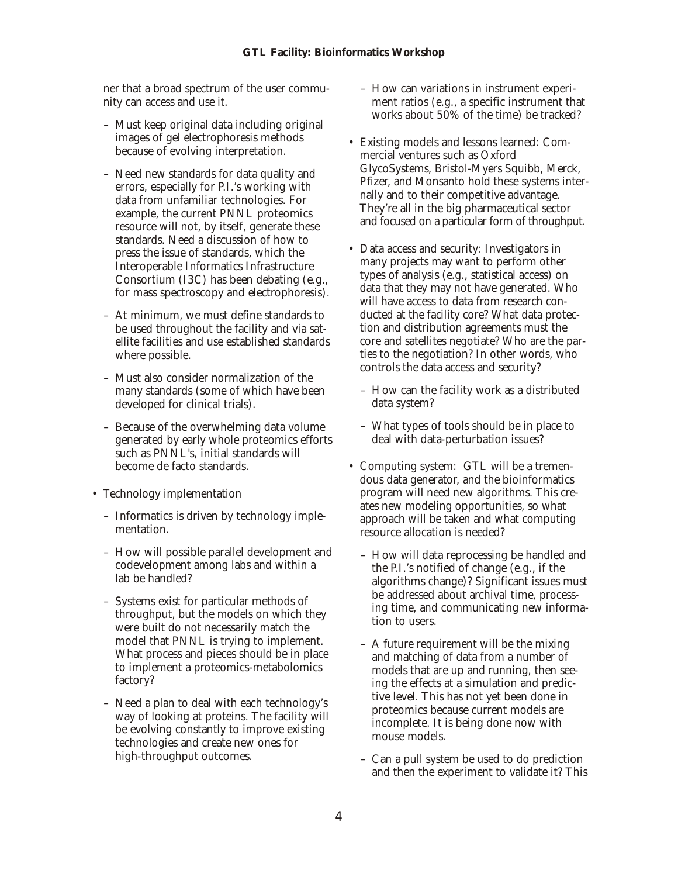ner that a broad spectrum of the user community can access and use it.

- Must keep original data including original images of gel electrophoresis methods because of evolving interpretation.
- Need new standards for data quality and errors, especially for P.I.'s working with data from unfamiliar technologies. For example, the current PNNL proteomics resource will not, by itself, generate these standards. Need a discussion of how to press the issue of standards, which the Interoperable Informatics Infrastructure Consortium (I3C) has been debating (e.g., for mass spectroscopy and electrophoresis).
- At minimum, we must define standards to be used throughout the facility and via satellite facilities and use established standards where possible.
- Must also consider normalization of the many standards (some of which have been developed for clinical trials).
- Because of the overwhelming data volume generated by early whole proteomics efforts such as PNNL's, initial standards will become de facto standards.
- Technology implementation
	- Informatics is driven by technology implementation.
	- How will possible parallel development and codevelopment among labs and within a lab be handled?
	- Systems exist for particular methods of throughput, but the models on which they were built do not necessarily match the model that PNNL is trying to implement. What process and pieces should be in place to implement a proteomics-metabolomics factory?
	- Need a plan to deal with each technology's way of looking at proteins. The facility will be evolving constantly to improve existing technologies and create new ones for high-throughput outcomes.
- How can variations in instrument experiment ratios (e.g., a specific instrument that works about 50% of the time) be tracked?
- Existing models and lessons learned: Commercial ventures such as Oxford GlycoSystems, Bristol-Myers Squibb, Merck, Pfizer, and Monsanto hold these systems internally and to their competitive advantage. They're all in the big pharmaceutical sector and focused on a particular form of throughput.
- Data access and security: Investigators in many projects may want to perform other types of analysis (e.g., statistical access) on data that they may not have generated. Who will have access to data from research conducted at the facility core? What data protection and distribution agreements must the core and satellites negotiate? Who are the parties to the negotiation? In other words, who controls the data access and security?
	- How can the facility work as a distributed data system?
	- What types of tools should be in place to deal with data-perturbation issues?
- Computing system: GTL will be a tremendous data generator, and the bioinformatics program will need new algorithms. This creates new modeling opportunities, so what approach will be taken and what computing resource allocation is needed?
	- How will data reprocessing be handled and the P.I.'s notified of change (e.g., if the algorithms change)? Significant issues must be addressed about archival time, processing time, and communicating new information to users.
	- A future requirement will be the mixing and matching of data from a number of models that are up and running, then seeing the effects at a simulation and predictive level. This has not yet been done in proteomics because current models are incomplete. It is being done now with mouse models.
	- Can a pull system be used to do prediction and then the experiment to validate it? This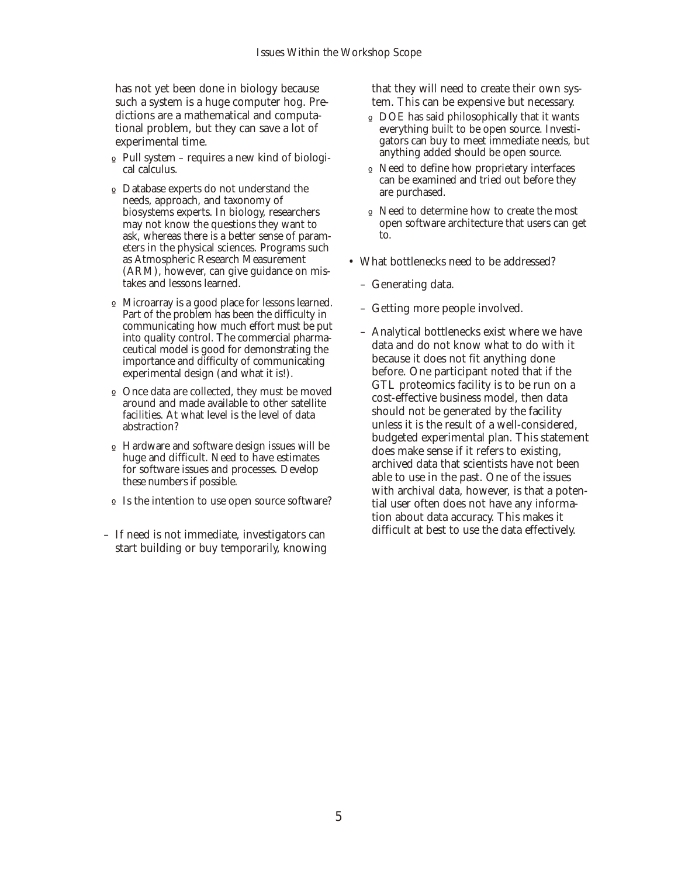has not yet been done in biology because such a system is a huge computer hog. Predictions are a mathematical and computational problem, but they can save a lot of experimental time.

- o Pull system requires a new kind of biological calculus.
- º Data base experts do not understand the needs, approach, and taxonomy of biosystems experts. In biology, researchers may not know the questions they want to ask, whereas there is a better sense of parameters in the physical sciences. Programs such as Atmospheric Research Measurement (ARM), however, can give guidance on mistakes and lessons learned.
- o Microarray is a good place for lessons learned. Part of the problem has been the difficulty in communicating how much effort must be put into quality control. The commercial pharmaceutical model is good for demonstrating the importance and difficulty of communicating experimental design (and what it is!).
- o Once data are collected, they must be moved around and made available to other satellite facilities. At what level is the level of data abstraction?
- º Hard ware and soft ware design issues will be huge and difficult. Need to have estimates for software issues and processes. Develop these numbers if possible.
- o Is the intention to use open source software?
- If need is not immediate, investigators can start building or buy temporarily, knowing

that they will need to create their own system. This can be expensive but necessary.

- o DOE has said philosophically that it wants everything built to be open source. Investigators can buy to meet immediate needs, but anything added should be open source.
- $\circ$  Need to define how proprietary interfaces can be examined and tried out before they are purchased.
- o Need to determine how to create the most open software architecture that users can get to.
- What bottlenecks need to be addressed?
	- Generating data.
	- Getting more people involved.
	- Analytical bottlenecks exist where we have data and do not know what to do with it because it does not fit anything done before. One participant noted that if the GTL proteomics facility is to be run on a cost-effective business model, then data should not be generated by the facility unless it is the result of a well-considered, budgeted experimental plan. This statement does make sense if it refers to existing, archived data that scientists have not been able to use in the past. One of the issues with archival data, however, is that a potential user often does not have any information about data accuracy. This makes it difficult at best to use the data effectively.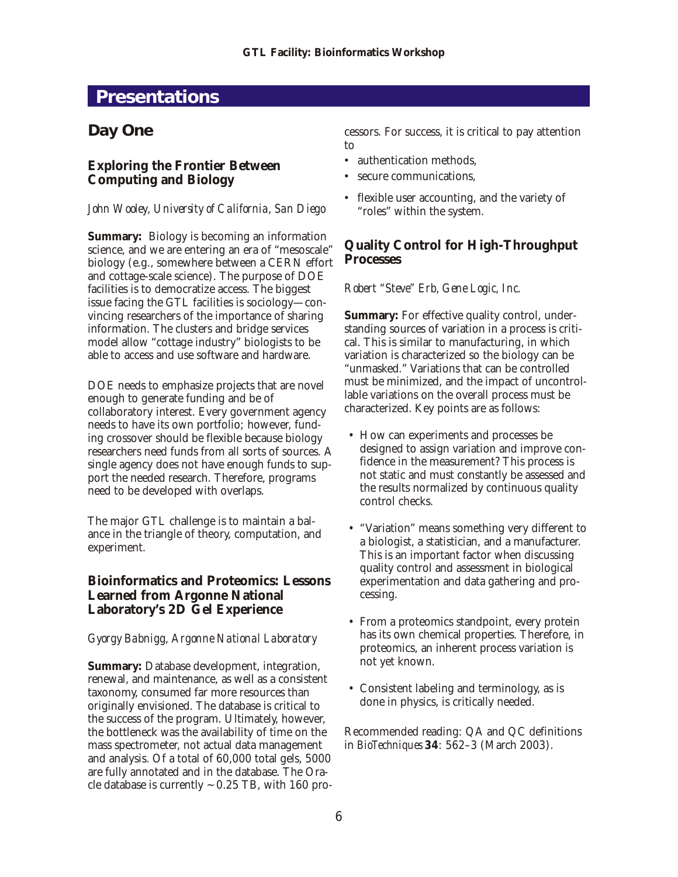# <span id="page-5-0"></span>**Presentations**

# **Day One**

## **Exploring the Frontier Between Computing and Biology**

#### *John Wooley, University of California, San Diego*

Summary: Biology is becoming an information science, and we are entering an era of "mesoscale" biology (e.g., somewhere between a CERN effort and cottage-scale science). The purpose of DOE facilities is to democratize access. The biggest issue facing the GTL facilities is sociology—convincing researchers of the importance of sharing information. The clusters and bridge services model allow "cottage industry" biologists to be able to access and use software and hardware.

DOE needs to emphasize projects that are novel enough to generate funding and be of collaboratory interest. Every government agency needs to have its own portfolio; however, funding crossover should be flexible because biology researchers need funds from all sorts of sources. A single agency does not have enough funds to support the needed research. Therefore, programs need to be developed with overlaps.

The major GTL challenge is to maintain a balance in the triangle of theory, computation, and experiment.

**Bioinformatics and Proteomics: Lessons Learned from Argonne National Laboratory's 2D Gel Experience**

#### *Gyorgy Babnigg, Argonne National Laboratory*

Summary: Database development, integration, renewal, and maintenance, as well as a consistent taxonomy, consumed far more resources than originally envisioned. The database is critical to the success of the program. Ultimately, however, the bottleneck was the availability of time on the mass spectrometer, not actual data management and analysis. Of a total of 60,000 total gels, 5000 are fully annotated and in the database. The Oracle database is currently  $\sim 0.25$  TB, with 160 processors. For success, it is critical to pay attention to

- authentication methods.
- secure communications,
- flexible user accounting, and the variety of "roles" within the system.

**Quality Control for High-Throughput Processes**

#### *Robert "Steve" Erb, Gene Logic, Inc.*

Summary: For effective quality control, understanding sources of variation in a process is critical. This is similar to manufacturing, in which variation is characterized so the biology can be "unmasked." Variations that can be controlled must be minimized, and the impact of uncontrollable variations on the overall process must be characterized. Key points are as follows:

- How can experiments and processes be designed to assign variation and improve confidence in the measurement? This process is not static and must constantly be assessed and the results normalized by continuous quality control checks.
- "Variation" means something very different to a biologist, a statistician, and a manufacturer. This is an important factor when discussing quality control and assessment in biological experimentation and data gathering and processing.
- From a proteomics stand point, every protein has its own chemical properties. Therefore, in proteomics, an inherent process variation is not yet known.
- Consistent labeling and terminology, as is done in physics, is critically needed.

Recommended reading: QA and QC definitions in *BioTechniques* **34**: 562–3 (March 2003).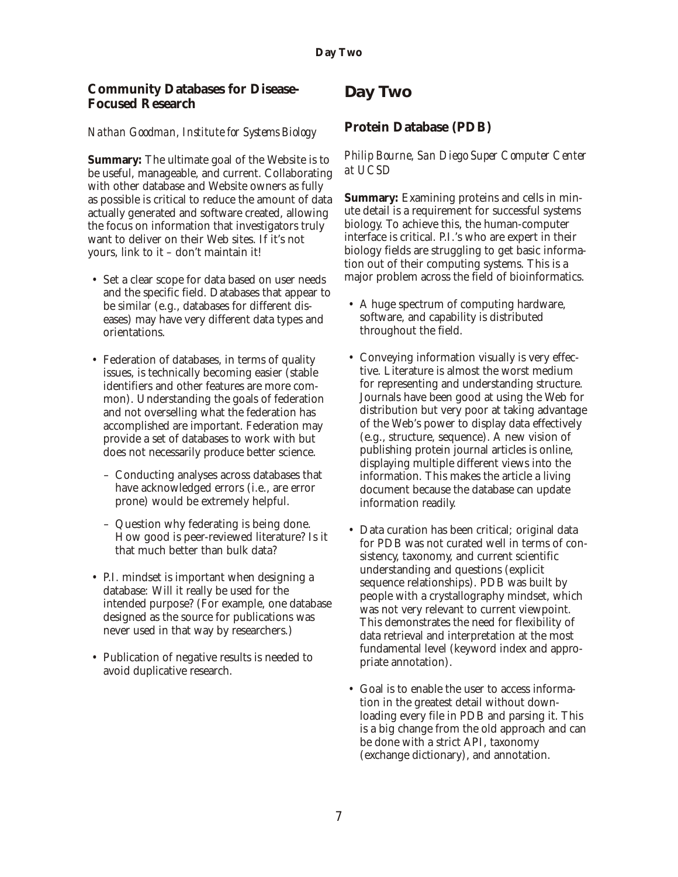<span id="page-6-0"></span>**Community Databases for Disease-Focused Research**

#### *Nathan Goodman, Institute for Systems Biology*

Summary: The ultimate goal of the Website is to be useful, manageable, and current. Collaborating with other database and Website owners as fully as possible is critical to reduce the amount of data actually generated and software created, allowing the focus on information that investigators truly want to deliver on their Web sites. If it's not yours, link to it - don't maintain it!

- Set a clear scope for data based on user needs and the specific field. Databases that appear to be similar (e.g., databases for different diseases) may have very different data types and orientations.
- Federation of databases, in terms of quality issues, is technically becoming easier (stable identifiers and other features are more common). Understanding the goals of federation and not overselling what the federation has accomplished are important. Federation may provide a set of databases to work with but does not necessarily produce better science.
	- Conducting analyses across databases that have acknowledged errors (*i.e.*, are error prone) would be extremely helpful.
	- Question why federating is being done. How good is peer-reviewed literature? Is it that much better than bulk data?
- P.I. mindset is important when designing a database: Will it really be used for the intended purpose? (For example, one database designed as the source for publications was never used in that way by researchers.)
- Publication of negative results is needed to avoid duplicative research.

# **Day Two**

**Protein Database (PDB)**

#### *Philip Bourne, San Diego Super Computer Center at UCSD*

**Summary: Examining proteins and cells in min**ute detail is a requirement for successful systems biology. To achieve this, the human-computer interface is critical. P.I.'s who are expert in their biology fields are struggling to get basic information out of their computing systems. This is a major problem across the field of bioinformatics.

- A huge spectrum of computing hardware, software, and capability is distributed throughout the field.
- Conveying information visually is very effective. Literature is almost the worst medium for representing and understanding structure. Journals have been good at using the Web for distribution but very poor at taking advantage of the Web's power to display data effectively (e.g., structure, sequence). A new vision of publishing protein journal articles is online, displaying multiple different views into the information. This makes the article a living document because the database can update information readily.
- Data curation has been critical; original data for PDB was not curated well in terms of consistency, taxonomy, and current scientific under standing and questions (explicit) sequence relationships). PDB was built by people with a crystallography mindset, which was not very relevant to current viewpoint. This demonstrates the need for flexibility of data retrieval and interpretation at the most fundamental level (keyword index and appropriate annotation).
- Goal is to enable the user to access information in the greatest detail without downloading every file in PDB and parsing it. This is a big change from the old approach and can be done with a strict API, taxonomy (exchange dictionary), and annotation.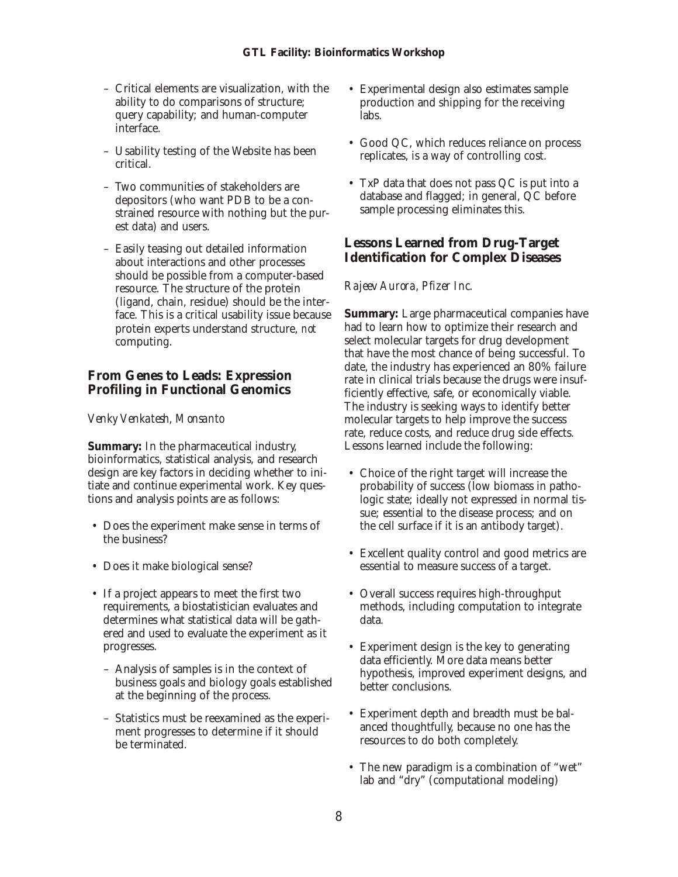- Critical elements are visualization, with the ability to do comparisons of structure; query capability; and human-computer interface.
- Usability testing of the Website has been critical.
- Two communities of stakeholders are depositors (who want PDB to be a constrained resource with nothing but the purest data) and users.
- Easily teasing out detailed information about interactions and other processes should be possible from a computer-based resource. The structure of the protein (ligand, chain, residue) should be the interface. This is a critical usability issue because protein experts understand structure, *not* computing.

### **From Genes to Leads: Expression Profiling in Functional Genomics**

#### *Venky Venkatesh, Monsanto*

**Summary:** In the pharmaceutical industry, bioinformatics, statistical analysis, and research design are key factors in deciding whether to initiate and continue experimental work. Key questions and analysis points are as follows:

- Does the experiment make sense in terms of the business?
- Does it make biological sense?
- If a project appears to meet the first two requirements, a biostatistician evaluates and determines what statistical data will be gathered and used to evaluate the experiment as it progresses.
	- Analysis of samples is in the context of business goals and biology goals established at the beginning of the process.
	- Statistics must be reexamined as the experiment progresses to determine if it should be terminated.
- Experimental design also estimates sample production and shipping for the receiving labs.
- Good QC, which reduces reliance on process replicates, is a way of controlling cost.
- TxP data that does not pass QC is put into a database and flagged; in general, QC before sample processing eliminates this.

## **Lessons Learned from Drug-Target Identification for Complex Diseases**

#### *Rajeev Aurora, Pfizer Inc.*

Summary: Large pharmaceutical companies have had to learn how to optimize their research and select molecular targets for drug development that have the most chance of being successful. To date, the industry has experienced an 80% failure rate in clinical trials because the drugs were insufficiently effective, safe, or economically viable. The industry is seeking ways to identify better molecular targets to help improve the success rate, reduce costs, and reduce drug side effects. Lessons learned include the following:

- Choice of the right target will increase the probability of success (low biomass in pathologic state; ideally not expressed in normal tissue; essential to the disease process; and on the cell surface if it is an antibody target).
- Excellent quality control and good metrics are essential to measure success of a target.
- Overall success requires high-throughput methods, including computation to integrate data.
- Experiment design is the key to generating data efficiently. More data means better hypothesis, improved experiment designs, and better conclusions.
- Experiment depth and breadth must be balanced thoughtfully, because no one has the resources to do both completely.
- The new paradigm is a combination of "wet" lab and "dry" (computational modeling)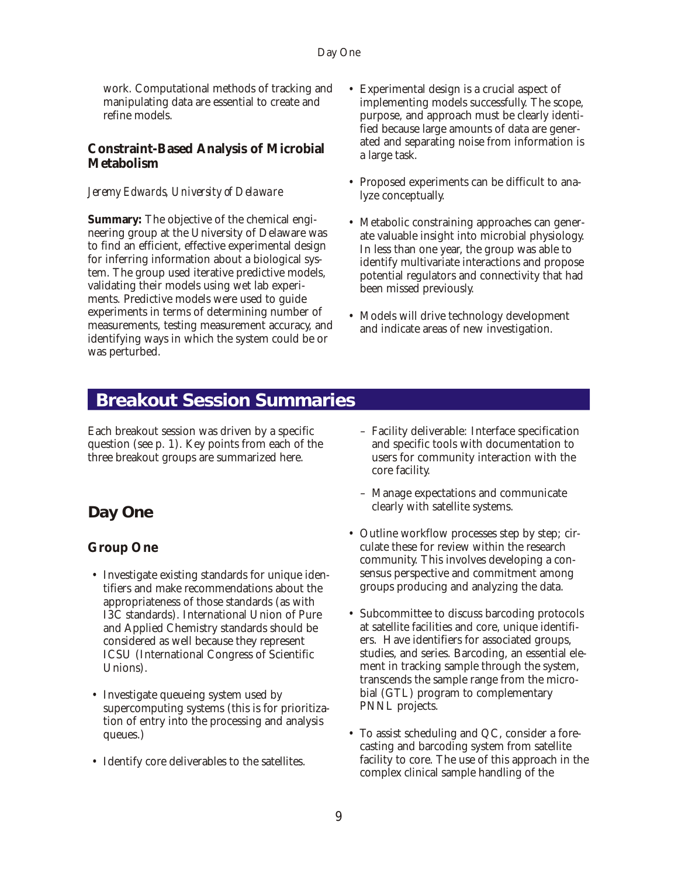<span id="page-8-0"></span>work. Computational methods of tracking and manipulating data are essential to create and refine models.

### **Constraint-Based Analysis of Microbial Metabolism**

#### *Jeremy Edwards, University of Delaware*

Summary: The objective of the chemical engineering group at the University of Delaware was to find an efficient, effective experimental design for inferring information about a biological system. The group used iterative predictive models, validating their models using wet lab experiments. Predictive models were used to guide experiments in terms of determining number of measurements, testing measurement accuracy, and identifying ways in which the system could be or was perturbed.

- Experimental design is a crucial aspect of implementing models successfully. The scope, purpose, and approach must be clearly identified because large amounts of data are generated and separating noise from information is a large task.
- Proposed experiments can be difficult to analyze conceptually.
- Metabolic constraining approaches can generate valuable insight into microbial physiology. In less than one year, the group was able to identify multivariate interactions and propose potential regulators and connectivity that had been missed previously.
- Models will drive technology development and indicate areas of new investigation.

# **Breakout Session Summaries**

Each breakout session was driven by a specific question (see  $p. 1$ ). Key points from each of the three breakout groups are summarized here.

# **Day One**

# **Group One**

- Investigate existing standards for unique identifiers and make recommendations about the appropriateness of those standards (as with I3C standards). International Union of Pure and Applied Chemistry standards should be considered as well because they represent ICSU (International Congress of Scientific Unions).
- Investigate queueing system used by supercomputing systems (this is for prioritization of entry into the processing and analysis queues.)
- Identify core deliverables to the satellites.
- Facility deliverable: Interface specification and specific tools with documentation to users for community interaction with the core facility.
- Manage expectations and communicate clearly with satellite systems.
- Outline workflow processes step by step; circulate these for review within the research community. This involves developing a consensus perspective and commitment among groups producing and analyzing the data.
- Subcommittee to discuss barcoding protocols at satellite facilities and core, unique identifiers. Have identifiers for associated groups, studies, and series. Barcoding, an essential element in tracking sample through the system, transcends the sample range from the microbial (GTL) program to complementary PNNL projects.
- To assist scheduling and QC, consider a forecasting and barcoding system from satellite facility to core. The use of this approach in the complex clinical sample handling of the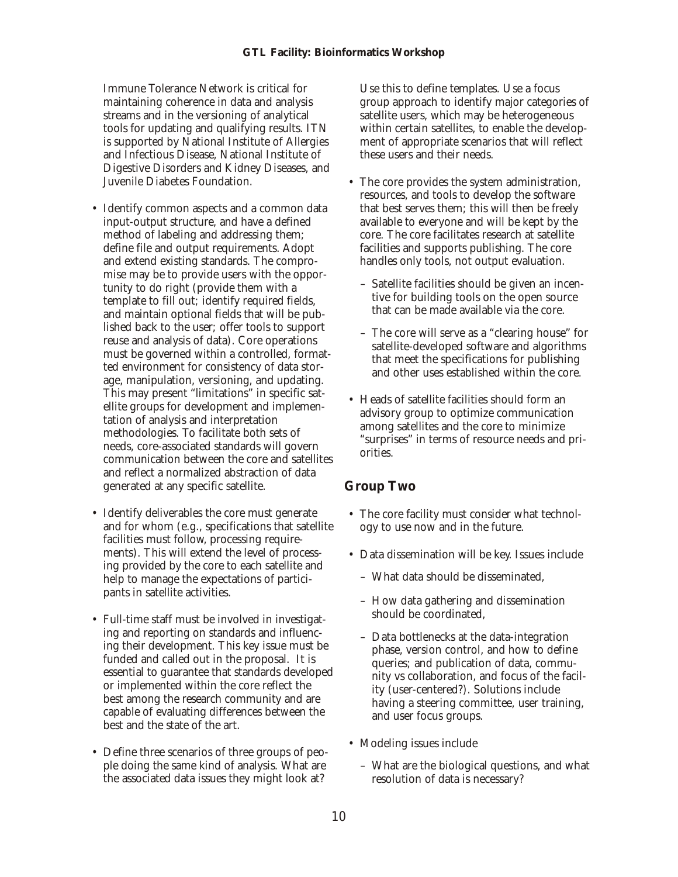Immune Tolerance Network is critical for maintaining coherence in data and analysis streams and in the versioning of analytical tools for updating and qualifying results. ITN is supported by National Institute of Allergies and Infectious Disease, National Institute of Digestive Disorders and Kidney Diseases, and Juvenile Diabetes Foundation.

- Identify common aspects and a common data input-output structure, and have a defined method of labeling and addressing them; define file and output requirements. Adopt and extend existing standards. The compromise may be to provide users with the opportunity to do right (provide them with a template to fill out; identify required fields, and maintain optional fields that will be published back to the user; offer tools to support reuse and analysis of data). Core operations must be governed within a controlled, formatted environment for consistency of data storage, manipulation, versioning, and updating. This may present "limitations" in specific satellite groups for development and implementation of analysis and interpretation methodologies. To facilitate both sets of needs, core-associated standards will govern communication between the core and satellites and reflect a normalized abstraction of data generated at any specific satellite.
- Identify deliverables the core must generate and for whom (e.g., specifications that satellite facilities must follow, processing requirements). This will extend the level of processing provided by the core to each satellite and help to manage the expectations of participants in satellite activities.
- Full-time staff must be involved in investigating and reporting on standards and influencing their development. This key issue must be funded and called out in the proposal. It is essential to guarantee that standards developed or implemented within the core reflect the best among the research community and are capable of evaluating differences between the best and the state of the art.
- Define three scenarios of three groups of people doing the same kind of analysis. What are the associated data issues they might look at?

Use this to define templates. Use a focus group approach to identify major categories of satellite users, which may be heterogeneous within certain satellites, to enable the development of appropriate scenarios that will reflect these users and their needs.

- The core provides the system administration, resources, and tools to develop the software that best serves them; this will then be freely available to everyone and will be kept by the core. The core facilitates research at satellite facilities and supports publishing. The core handles only tools, not output evaluation.
	- Satellite facilities should be given an incentive for building tools on the open source that can be made available via the core.
	- The core will serve as a "clearing house" for satellite-developed software and algorithms that meet the specifications for publishing and other uses established within the core.
- Heads of satellite facilities should form an advisory group to optimize communication among satellites and the core to minimize "surprises" in terms of resource needs and priorities.

## **Group Two**

- The core facility must consider what technology to use now and in the future.
- Data dissemination will be key. Issues include
	- What data should be disseminated,
	- How data gathering and dissemination should be coordinated.
	- Data bottlenecks at the data-integration phase, version control, and how to define queries; and publication of data, community vs collaboration, and focus of the facility (user-centered?). Solutions include having a steering committee, user training, and user focus groups.
- Modeling issues include
	- What are the biological questions, and what resolution of data is necessary?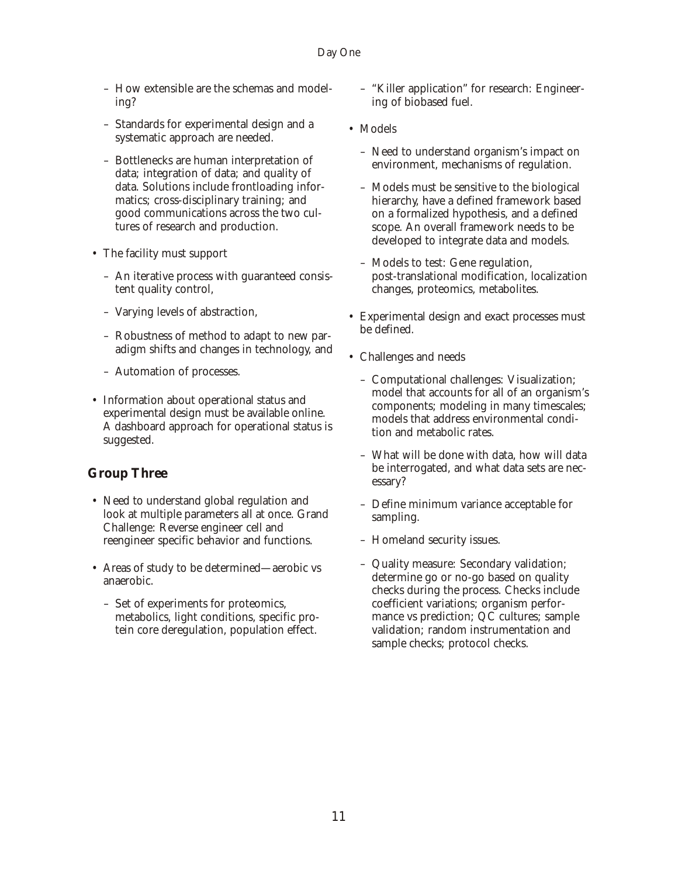#### Day One

- How extensible are the schemas and modeling?
- Standards for experimental design and a systematic approach are needed.
- Bottlenecks are human interpretation of data; integration of data; and quality of data. Solutions include frontloading informatics; cross-disciplinary training; and good communications across the two cultures of research and production.
- The facility must support
	- An iterative process with guaranteed consistent quality control,
	- Varying levels of abstraction,
	- Robustness of method to adapt to new paradigm shifts and changes in technology, and
	- Automation of processes.
- Information about operational status and experimental design must be available online. A dashboard approach for operational status is suggested.

## **Group Three**

- Need to understand global regulation and look at multiple parameters all at once. Grand Challenge: Reverse engineer cell and reengineer specific behavior and functions.
- Areas of study to be determined—aerobic vs anaerobic.
	- Set of experiments for proteomics, metabolics, light conditions, specific protein core deregulation, population effect.
- "Killer application" for research: Engineering of biobased fuel.
- Models
	- Need to understand organism's impact on environment, mechanisms of regulation.
	- Models must be sensitive to the biological hierarchy, have a defined framework based on a formalized hypothesis, and a defined scope. An overall framework needs to be developed to integrate data and models.
	- Models to test: Gene regulation, post-translational modification, localization changes, proteomics, metabolites.
- Experimental design and exact processes must be defined.
- Challenges and needs
	- Computational challenges: Visualization; model that accounts for all of an organism's components; modeling in many timescales; models that address environmental condition and metabolic rates.
	- What will be done with data, how will data be interrogated, and what data sets are necessary?
	- Define minimum variance acceptable for sampling.
	- Homeland security issues.
	- Quality measure: Secondary validation; determine go or no-go based on quality checks during the process. Checks include coefficient variations; organism performance vs prediction; QC cultures; sample validation; random instrumentation and sample checks; protocol checks.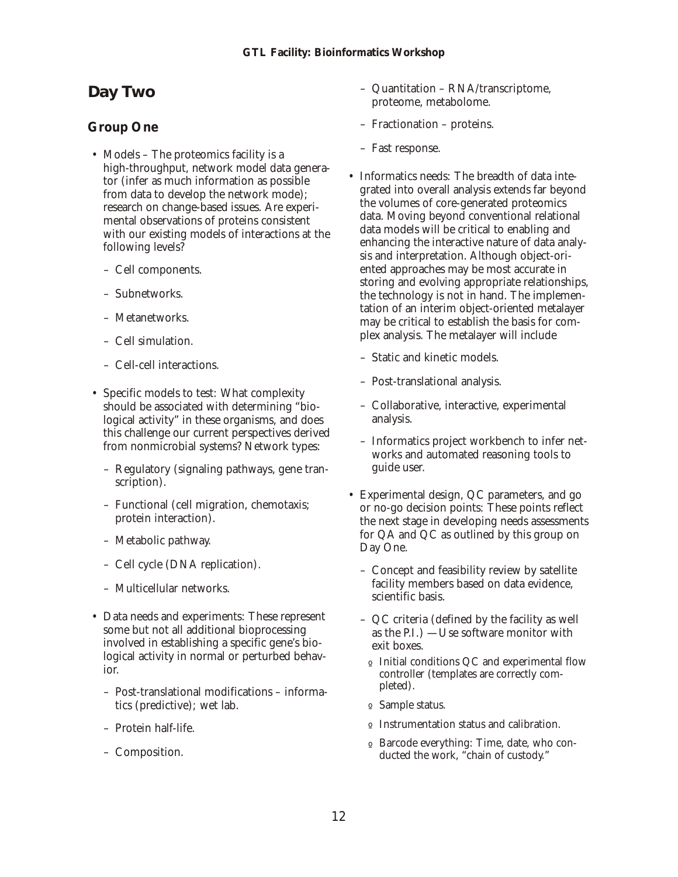# <span id="page-11-0"></span>**Day Two**

### **Group One**

- Models The proteomics facility is a high-throughput, network model data generator (infer as much information as possible from data to develop the network mode); research on change-based issues. Are experimental observations of proteins consistent with our existing models of interactions at the following levels?
	- Cell components.
	- Subnetworks.
	- Metanetworks.
	- Cell simulation.
	- Cell-cell interactions.
- Specific models to test: What complexity should be associated with determining "biological activity" in these organisms, and does this challenge our current perspectives derived from nonmicrobial systems? Network types:
	- Regulatory (signaling pathways, gene transcription).
	- Functional (cell migration, chemotaxis; protein interaction).
	- Metabolic pathway.
	- Cell cycle (DNA replication).
	- Multicellular networks.
- Data needs and experiments: These represent some but not all additional bioprocessing involved in establishing a specific gene's biological activity in normal or perturbed behavior.
	- Post-translational modifications informatics (predictive); wet lab.
	- Protein half-life.
	- Composition.
- Quantitation RNA/transcriptome, proteome, metabolome.
- Fractionation proteins.
- Fast response.
- Informatics needs: The breadth of data integrated into overall analysis extends far beyond the volumes of core-generated proteomics data. Moving beyond conventional relational data models will be critical to enabling and enhancing the interactive nature of data analysis and interpretation. Although object-oriented approaches may be most accurate in storing and evolving appropriate relationships, the technology is not in hand. The implementation of an interim object-oriented metalayer may be critical to establish the basis for complex analysis. The metalayer will include
	- Static and kinetic models.
	- Post-translational analysis.
	- Collaborative, interactive, experimental analysis.
	- Informatics project work bench to infer networks and automated reasoning tools to guide user.
- Experimental design, QC parameters, and go or no-go decision points: These points reflect the next stage in developing needs assessments for QA and QC as outlined by this group on Day One.
	- Concept and feasibility review by satellite facility members based on data evidence, scientific basis.
	- $-$  QC criteria (defined by the facility as well as the P.I.)  $-$ Use software monitor with exit boxes.
		- o Initial conditions QC and experimental flow controller (templates are correctly completed).
		- o Sample status.
	- o Instrumentation status and calibration.
	- º Barcode every thing: Time, date, who con ducted the work, "chain of custody."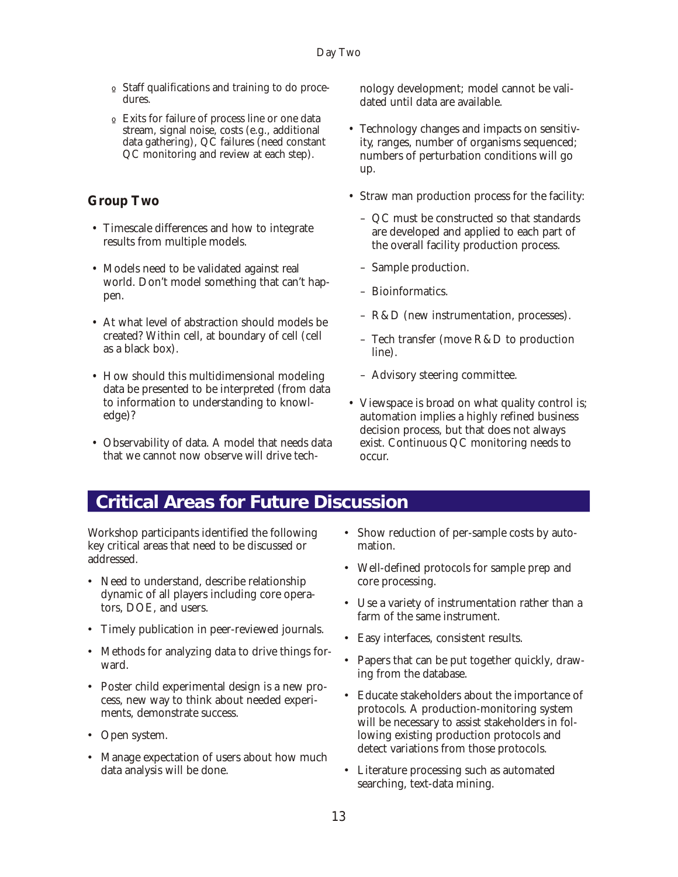- <span id="page-12-0"></span> $\circ$  Staff qualifications and training to do procedures.
- $\circ$  Exits for failure of process line or one data stream, signal noise, costs (e.g., additional  $data$  gathering), QC failures (need constant QC monitoring and review at each step).

## **Group Two**

- Timescale differences and how to integrate results from multiple models.
- Models need to be validated against real world. Don't model something that can't happen.
- At what level of abstraction should models be created? Within cell, at boundary of cell (cell as a black box).
- How should this multidimensional modeling data be presented to be interpreted (from data to information to understanding to knowledge)?
- Observability of data. A model that needs data that we cannot now observe will drive tech-

nology development; model cannot be validated until data are available.

- Technology changes and impacts on sensitivity, ranges, number of organisms sequenced; numbers of perturbation conditions will go up.
- Straw man production process for the facility:
	- QC must be constructed so that standards are developed and applied to each part of the overall facility production process.
	- Sample production.
	- Bioinformatics.
	- $R&D$  (new instrumentation, processes).
	- Tech transfer (move  $R&D$  to production line).
	- Advisory steering committee.
- Viewspace is broad on what quality control is; automation implies a highly refined business decision process, but that does not always exist. Continuous QC monitoring needs to occur.

# **Critical Areas for Future Discussion**

Workshop participants identified the following key critical areas that need to be discussed or addressed.

- Need to understand, describe relationship dynamic of all players including core operators, DOE, and users.
- Timely publication in peer-reviewed journals.
- Methods for analyzing data to drive things forward.
- Poster child experimental design is a new process, new way to think about needed experiments, demonstrate success.
- Open system.
- Manage expectation of users about how much data analysis will be done.
- Show reduction of per-sample costs by automation.
- Well-defined protocols for sample prep and core processing.
- Use a variety of instrumentation rather than a farm of the same instrument.
- Easy interfaces, consistent results.
- Papers that can be put together quickly, drawing from the database.
- Educate stakeholders about the importance of protocols. A production-monitoring system will be necessary to assist stakeholders in following existing production protocols and detect variations from those protocols.
- Literature processing such as automated searching, text-data mining.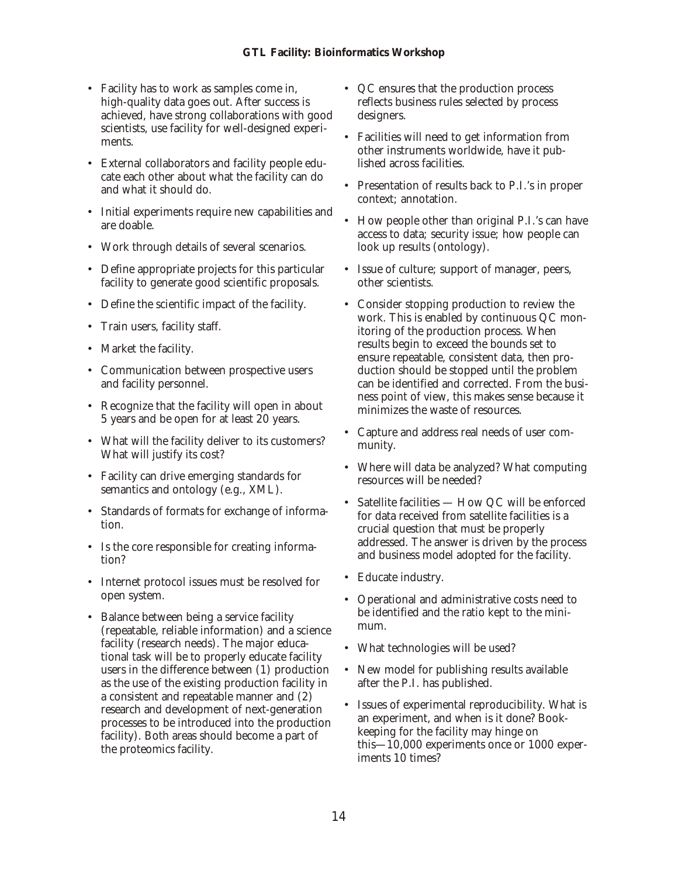- Facility has to work as samples come in, high-quality data goes out. After success is achieved, have strong collaborations with good scientists, use facility for well-designed experiments.
- External collaborators and facility people educate each other about what the facility can do and what it should do.
- Initial experiments require new capabilities and are doable.
- Work through details of several scenarios.
- Define appropriate projects for this particular facility to generate good scientific proposals.
- Define the scientific impact of the facility.
- Train users, facility staff.
- Market the facility.
- Communication between prospective users and facility personnel.
- Recognize that the facility will open in about 5 years and be open for at least 20 years.
- What will the facility deliver to its customers? What will justify its cost?
- Facility can drive emerging standards for semantics and ontology (e.g., XML).
- Standards of formats for exchange of information.
- Is the core responsible for creating information?
- Internet protocol issues must be resolved for open system.
- Balance between being a service facility (repeatable, reliable information) and a science facility (research needs). The major educational task will be to properly educate facility users in the difference between  $(1)$  production as the use of the existing production facility in a consistent and repeatable manner and  $(2)$ research and development of next-generation processes to be introduced into the production facility). Both areas should become a part of the proteomics facility.
- QC ensures that the production process reflects business rules selected by process designers.
- Facilities will need to get information from other instruments worldwide, have it published across facilities.
- Presentation of results back to P.I.'s in proper context; annotation.
- How people other than original P.I.'s can have access to data; security issue; how people can look up results (ontology).
- Issue of culture; support of manager, peers, other scientists.
- Consider stopping production to review the work. This is enabled by continuous  $QC$  monitoring of the production process. When results begin to exceed the bounds set to ensure repeatable, consistent data, then production should be stopped until the problem can be identified and corrected. From the business point of view, this makes sense because it minimizes the waste of resources.
- Capture and address real needs of user community.
- Where will data be analyzed? What computing resources will be needed?
- Satellite facilities  $-$  How QC will be enforced for data received from satellite facilities is a crucial question that must be properly addressed. The answer is driven by the process and business model adopted for the facility.
- Educate industry.
- Operational and administrative costs need to be identified and the ratio kept to the minimum.
- What technologies will be used?
- New model for publishing results available after the P.I. has published.
- Issues of experimental reproducibility. What is an experiment, and when is it done? Bookkeeping for the facility may hinge on this—10,000 experiments once or  $1000$  experiments 10 times?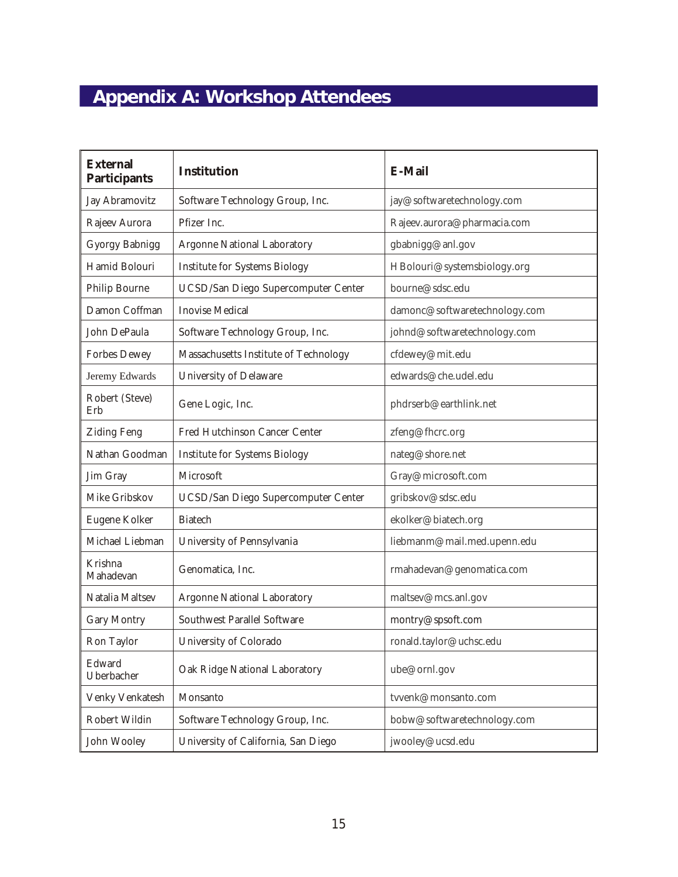# <span id="page-14-0"></span> **Appendix A: Workshop Attendees**

| <b>External</b><br>Participants | Institution                           | E-Mail                        |  |
|---------------------------------|---------------------------------------|-------------------------------|--|
| Jay Abramovitz                  | Software Technology Group, Inc.       | jay@softwaretechnology.com    |  |
| Rajeev Aurora                   | Pfizer Inc.                           | Rajeev.aurora@pharmacia.com   |  |
| <b>Gyorgy Babnigg</b>           | <b>Argonne National Laboratory</b>    | gbabnigg@anl.gov              |  |
| Hamid Bolouri                   | <b>Institute for Systems Biology</b>  | HBolouri@systemsbiology.org   |  |
| <b>Philip Bourne</b>            | UCSD/San Diego Supercomputer Center   | bourne@sdsc.edu               |  |
| Damon Coffman                   | <b>Inovise Medical</b>                | damonc@softwaretechnology.com |  |
| John DePaula                    | Software Technology Group, Inc.       | johnd@softwaretechnology.com  |  |
| <b>Forbes Dewey</b>             | Massachusetts Institute of Technology | cfdewey@mit.edu               |  |
| Jeremy Edwards                  | <b>University of Delaware</b>         | edwards@che.udel.edu          |  |
| Robert (Steve)<br>Erb           | Gene Logic, Inc.                      | phdrserb@earthlink.net        |  |
| <b>Ziding Feng</b>              | Fred Hutchinson Cancer Center         | zfeng@fhcrc.org               |  |
| Nathan Goodman                  | <b>Institute for Systems Biology</b>  | nateg@shore.net               |  |
| Jim Gray                        | Microsoft                             | Gray@microsoft.com            |  |
| Mike Gribskov                   | UCSD/San Diego Supercomputer Center   | gribskov@sdsc.edu             |  |
| Eugene Kolker                   | <b>Biatech</b>                        | ekolker@biatech.org           |  |
| Michael Liebman                 | University of Pennsylvania            | liebmanm@mail.med.upenn.edu   |  |
| Krishna<br>Mahadevan            | Genomatica, Inc.                      | rmahadevan@genomatica.com     |  |
| Natalia Maltsev                 | <b>Argonne National Laboratory</b>    | maltsev@mcs.anl.gov           |  |
| <b>Gary Montry</b>              | <b>Southwest Parallel Software</b>    | montry@spsoft.com             |  |
| Ron Taylor                      | University of Colorado                | ronald.taylor@uchsc.edu       |  |
| Edward<br>Uberbacher            | Oak Ridge National Laboratory         | ube@ornl.gov                  |  |
| Venky Venkatesh                 | Monsanto                              | tvvenk@monsanto.com           |  |
| Robert Wildin                   | Software Technology Group, Inc.       | bobw@softwaretechnology.com   |  |
| John Wooley                     | University of California, San Diego   | jwooley@ucsd.edu              |  |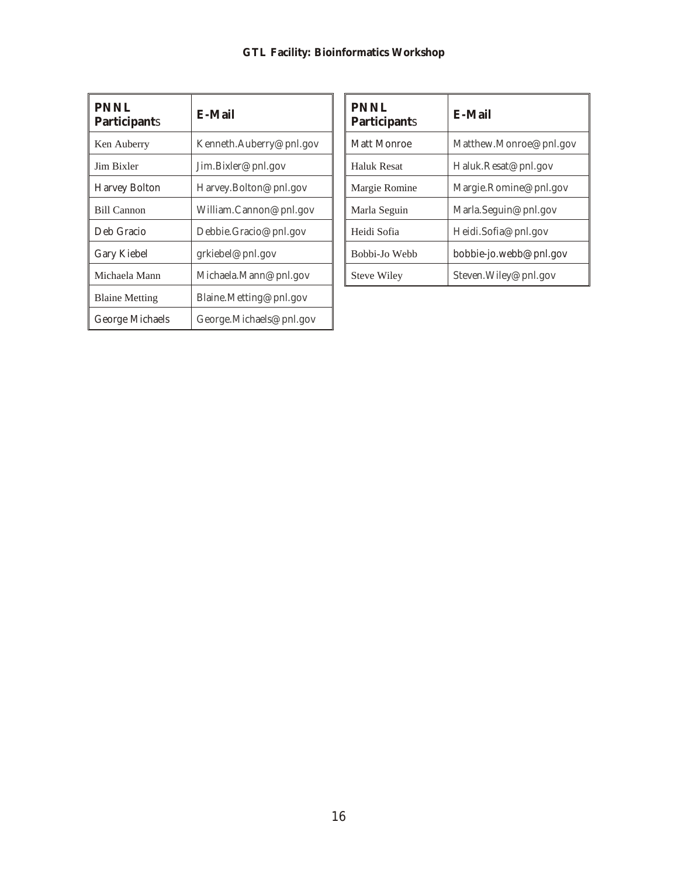| <b>PNNL</b><br>Participants | E-Mail                  |  |
|-----------------------------|-------------------------|--|
| Ken Auberry                 | Kenneth.Auberry@pnl.gov |  |
| Jim Bixler                  | Jim.Bixler@pnl.gov      |  |
| <b>Harvey Bolton</b>        | Harvey. Bolton@pnl.gov  |  |
| <b>Bill Cannon</b>          | William.Cannon@pnl.gov  |  |
| Deb Gracio                  | Debbie.Gracio@pnl.gov   |  |
| Gary Kiebel                 | grkiebel@pnl.gov        |  |
| Michaela Mann               | Michaela.Mann@pnl.gov   |  |
| <b>Blaine Metting</b>       | Blaine. Metting@pnl.gov |  |
| George Michaels             | George.Michaels@pnl.gov |  |

| <b>PNNL</b><br>Participants | E-Mail                 |  |
|-----------------------------|------------------------|--|
| Matt Monroe                 | Matthew.Monroe@pnl.gov |  |
| <b>Haluk Resat</b>          | Haluk.Resat@pnl.gov    |  |
| Margie Romine               | Margie.Romine@pnl.gov  |  |
| Marla Seguin                | Marla.Seguin@pnl.gov   |  |
| Heidi Sofia                 | Heidi.Sofia@pnl.gov    |  |
| Bobbi-Jo Webb               | bobbie-jo.webb@pnl.gov |  |
| <b>Steve Wiley</b>          | Steven. Wiley@pnl.gov  |  |